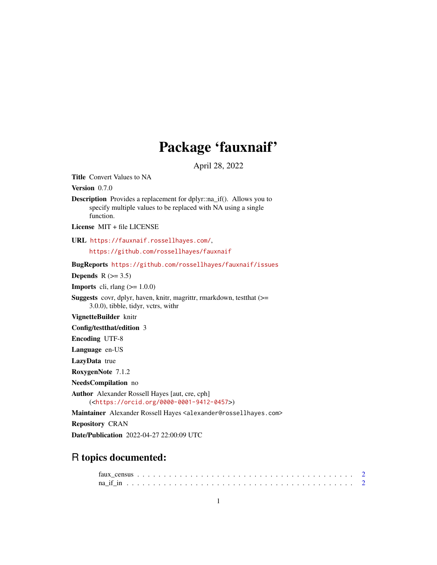## Package 'fauxnaif'

April 28, 2022

<span id="page-0-0"></span>Title Convert Values to NA

Version 0.7.0

Description Provides a replacement for dplyr::na\_if(). Allows you to specify multiple values to be replaced with NA using a single function.

License MIT + file LICENSE

URL <https://fauxnaif.rossellhayes.com/>, <https://github.com/rossellhayes/fauxnaif>

BugReports <https://github.com/rossellhayes/fauxnaif/issues>

Depends  $R$  ( $>= 3.5$ )

**Imports** cli, rlang  $(>= 1.0.0)$ 

Suggests covr, dplyr, haven, knitr, magrittr, rmarkdown, testthat (>= 3.0.0), tibble, tidyr, vctrs, withr

VignetteBuilder knitr

Config/testthat/edition 3

Encoding UTF-8

Language en-US

LazyData true

RoxygenNote 7.1.2

NeedsCompilation no

Author Alexander Rossell Hayes [aut, cre, cph] (<<https://orcid.org/0000-0001-9412-0457>>)

Maintainer Alexander Rossell Hayes <alexander@rossellhayes.com>

Repository CRAN

Date/Publication 2022-04-27 22:00:09 UTC

### R topics documented: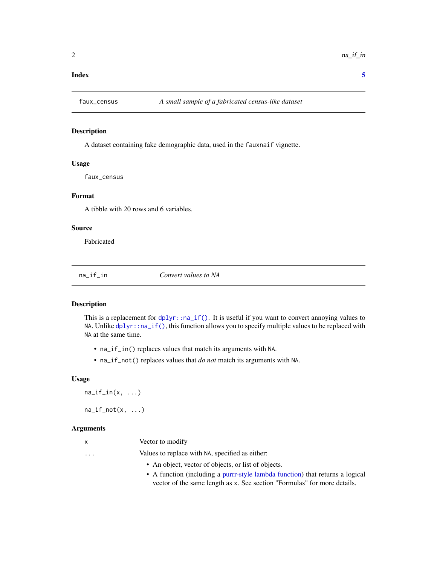#### <span id="page-1-0"></span>**Index** [5](#page-4-0). The second state of the second state of the second state of the second state of the second state of the second state of the second state of the second state of the second state of the second state of the second

#### Description

A dataset containing fake demographic data, used in the fauxnaif vignette.

#### Usage

faux\_census

#### Format

A tibble with 20 rows and 6 variables.

#### Source

Fabricated

na\_if\_in *Convert values to NA*

#### Description

This is a replacement for  $dplyr$ : :  $na_i$ if(). It is useful if you want to convert annoying values to NA. Unlike [dplyr::na\\_if\(\)](#page-0-0), this function allows you to specify multiple values to be replaced with NA at the same time.

- na\_if\_in() replaces values that match its arguments with NA.
- na\_if\_not() replaces values that *do not* match its arguments with NA.

#### Usage

 $na_i f_in(x, ...)$ 

 $na_i f_not(x, \ldots)$ 

#### Arguments

|          | Vector to modify                                    |
|----------|-----------------------------------------------------|
| $\cdots$ | Values to replace with NA, specified as either:     |
|          | • An object, vector of objects, or list of objects. |

• A function (including a [purrr-style lambda function\)](#page-0-0) that returns a logical vector of the same length as x. See section "Formulas" for more details.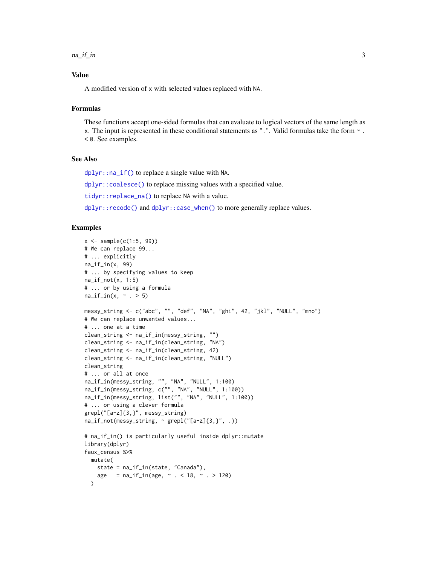<span id="page-2-0"></span> $na\_if\_in$  3

#### Value

A modified version of x with selected values replaced with NA.

#### Formulas

These functions accept one-sided formulas that can evaluate to logical vectors of the same length as x. The input is represented in these conditional statements as ".". Valid formulas take the form ~ . < 0. See examples.

#### See Also

[dplyr::na\\_if\(\)](#page-0-0) to replace a single value with NA.

[dplyr::coalesce\(\)](#page-0-0) to replace missing values with a specified value.

[tidyr::replace\\_na\(\)](#page-0-0) to replace NA with a value.

[dplyr::recode\(\)](#page-0-0) and [dplyr::case\\_when\(\)](#page-0-0) to more generally replace values.

#### Examples

```
x \le - sample(c(1:5, 99))
# We can replace 99...
# ... explicitly
na_if_in(x, 99)
# ... by specifying values to keep
na_i f_not(x, 1:5)# ... or by using a formula
na_i f_in(x, ~ \sim . > 5)messy_string <- c("abc", "", "def", "NA", "ghi", 42, "jkl", "NULL", "mno")
# We can replace unwanted values...
# ... one at a time
clean_string <- na_if_in(messy_string, "")
clean_string <- na_if_in(clean_string, "NA")
clean_string <- na_if_in(clean_string, 42)
clean_string <- na_if_in(clean_string, "NULL")
clean_string
# ... or all at once
na_if_in(messy_string, "", "NA", "NULL", 1:100)
na_if_in(messy_string, c("", "NA", "NULL", 1:100))
na_if_in(messy_string, list("", "NA", "NULL", 1:100))
# ... or using a clever formula
grepl("[a-z]{3,}", messy_string)
na_i f_not(messy_sstring, ~ graph("a-z]{3, }", .))# na_if_in() is particularly useful inside dplyr::mutate
library(dplyr)
faux_census %>%
 mutate(
    state = na_if_in(state, "Canada"),
    age = na_i f_in(age, ~ . ~ 18, ~ . > 120))
```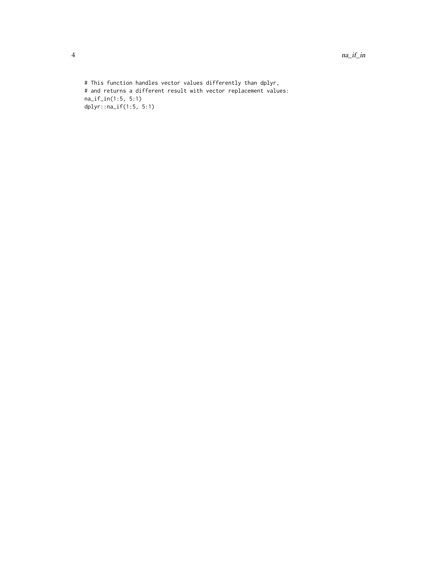# This function handles vector values differently than dplyr, # and returns a different result with vector replacement values: na\_if\_in(1:5, 5:1) dplyr::na\_if(1:5, 5:1)